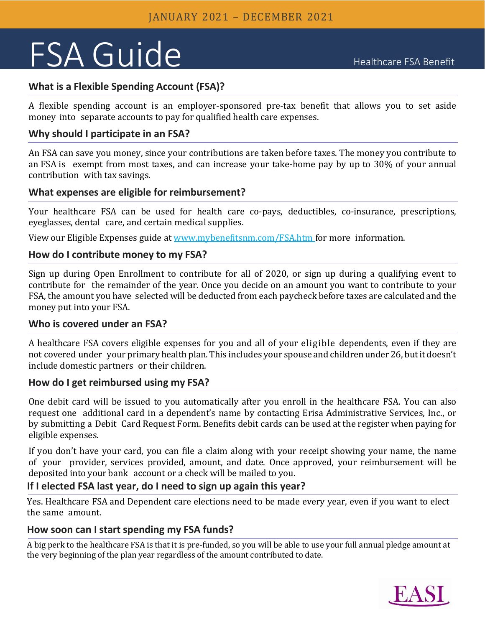# FSA Guide Healthcare FSA Benefit

# **What is a Flexible Spending Account (FSA)?**

A flexible spending account is an employer-sponsored pre-tax benefit that allows you to set aside money into separate accounts to pay for qualified health care expenses.

### **Why should I participate in an FSA?**

An FSA can save you money, since your contributions are taken before taxes. The money you contribute to an FSA is exempt from most taxes, and can increase your take-home pay by up to 30% of your annual contribution with tax savings.

#### **What expenses are eligible for reimbursement?**

Your healthcare FSA can be used for health care co-pays, deductibles, co-insurance, prescriptions, eyeglasses, dental care, and certain medical supplies.

View our Eligible Expenses guide at [www.mybenefitsnm.com/FSA.htm](https://www.mybenefitsnm.com/FSA.htm) for more information.

#### **How do I contribute money to my FSA?**

Sign up during Open Enrollment to contribute for all of 2020, or sign up during a qualifying event to contribute for the remainder of the year. Once you decide on an amount you want to contribute to your FSA, the amount you have selected will be deducted from each paycheck before taxes are calculated and the money put into your FSA.

#### **Who is covered under an FSA?**

A healthcare FSA covers eligible expenses for you and all of your eligible dependents, even if they are not covered under your primary health plan. This includes your spouse and children under26, butit doesn't include domestic partners or their children.

# **How do I get reimbursed using my FSA?**

One debit card will be issued to you automatically after you enroll in the healthcare FSA. You can also request one additional card in a dependent's name by contacting Erisa Administrative Services, Inc., or by submitting a Debit Card Request Form. Benefits debit cards can be used at the register when paying for eligible expenses.

If you don't have your card, you can file a claim along with your receipt showing your name, the name of your provider, services provided, amount, and date. Once approved, your reimbursement will be deposited into your bank account or a check will be mailed to you.

# **If I elected FSA last year, do I need to sign up again this year?**

Yes. Healthcare FSA and Dependent care elections need to be made every year, even if you want to elect the same amount.

# **How soon can I start spending my FSA funds?**

A big perk to the healthcare FSA is that it is pre-funded, so you will be able to use your full annual pledge amount at the very beginning of the plan year regardless of the amount contributed to date.

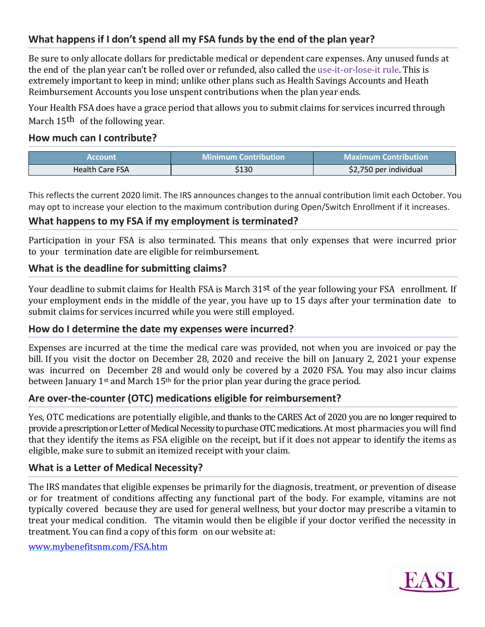# **What happens if I don't spend all my FSA funds by the end of the plan year?**

Be sure to only allocate dollars for predictable medical or dependent care expenses. Any unused funds at the end of the plan year can't be rolled over or refunded, also called the use-it-or-lose-it rule. This is extremely important to keep in mind; unlike other plans such as Health Savings Accounts and Heath Reimbursement Accounts you lose unspent contributions when the plan year ends.

Your Health FSA does have a grace period that allows you to submit claims for services incurred through March 15<sup>th</sup> of the following year.

#### **How much can I contribute?**

| <b>Account</b>         | <b>Minimum Contribution</b> | <b>Maximum Contribution</b> |
|------------------------|-----------------------------|-----------------------------|
| <b>Health Care FSA</b> | \$130                       | \$2,750 per individual      |

This reflects the current 2020 limit. The IRS announces changes to the annual contribution limit each October. You may opt to increase your election to the maximum contribution during Open/Switch Enrollment if it increases.

#### **What happens to my FSA if my employment is terminated?**

Participation in your FSA is also terminated. This means that only expenses that were incurred prior to your termination date are eligible for reimbursement.

#### **What is the deadline for submitting claims?**

Your deadline to submit claims for Health FSA is March 31<sup>st</sup> of the year following your FSA enrollment. If your employment ends in the middle of the year, you have up to 15 days after your termination date to submit claims for services incurred while you were still employed.

#### **How do I determine the date my expenses were incurred?**

Expenses are incurred at the time the medical care was provided, not when you are invoiced or pay the bill. If you visit the doctor on December 28, 2020 and receive the bill on January 2, 2021 your expense was incurred on December 28 and would only be covered by a 2020 FSA. You may also incur claims between January 1<sup>st</sup> and March 15<sup>th</sup> for the prior plan year during the grace period.

# **Are over-the-counter (OTC) medications eligible for reimbursement?**

Yes, OTC medications are potentially eligible, and thanks to the CARES Act of 2020 you are no longer required to provide a prescription or Letter of Medical Necessity to purchase OTC medications. At most pharmacies you will find that they identify the items as FSA eligible on the receipt, but if it does not appear to identify the items as eligible, make sure to submit an itemized receipt with your claim.

#### **What is a Letter of Medical Necessity?**

The IRS mandates that eligible expenses be primarily for the diagnosis, treatment, or prevention of disease or for treatment of conditions affecting any functional part of the body. For example, vitamins are not typically covered because they are used for general wellness, but your doctor may prescribe a vitamin to treat your medical condition. The vitamin would then be eligible if your doctor verified the necessity in treatment. You can find a copy of this form on our website at:

[www.mybenefitsnm.com/FSA.htm](http://www.mybenefitsnm.com/FSA.htm)

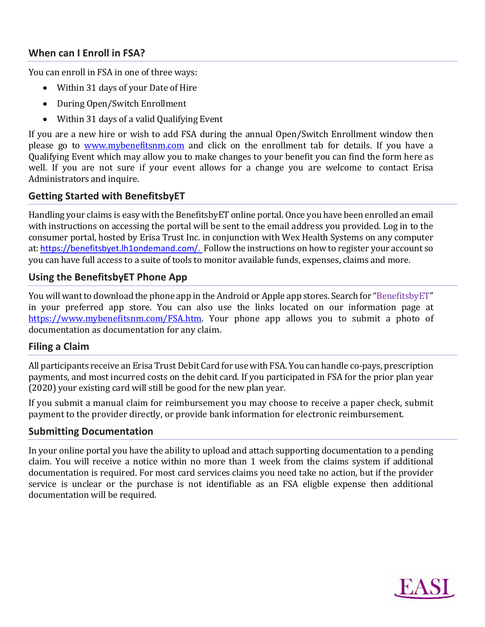# **When can I Enroll in FSA?**

You can enroll in FSA in one of three ways:

- Within 31 days of your Date of Hire
- During Open/Switch Enrollment
- Within 31 days of a valid Qualifying Event

If you are a new hire or wish to add FSA during the annual Open/Switch Enrollment window then please go to [www.mybenefitsnm.com](http://www.mybenefitsnm.com/) and click on the enrollment tab for details. If you have a Qualifying Event which may allow you to make changes to your benefit you can find the form here as well. If you are not sure if your event allows for a change you are welcome to contact Erisa Administrators and inquire.

# **Getting Started with BenefitsbyET**

Handling your claims is easy with the BenefitsbyET online portal. Once you have been enrolled an email with instructions on accessing the portal will be sent to the email address you provided. Log in to the consumer portal, hosted by Erisa Trust Inc. in conjunction with Wex Health Systems on any computer at: [https://benefitsbyet.lh1ondemand.com/.](https://benefitsbyet.lh1ondemand.com/) Follow the instructions on how to register your account so you can have full access to a suite of tools to monitor available funds, expenses, claims and more.

#### **Using the BenefitsbyET Phone App**

You will want to download the phone app in the Android or Apple app stores. Search for "BenefitsbyET" in your preferred app store. You can also use the links located on our information page at [https://www.mybenefitsnm.com/FSA.htm.](https://www.mybenefitsnm.com/FSA.htm) Your phone app allows you to submit a photo of documentation as documentation for any claim.

#### **Filing a Claim**

All participants receive an Erisa Trust Debit Card for use with FSA. You can handle co-pays, prescription payments, and most incurred costs on the debit card. If you participated in FSA for the prior plan year (2020) your existing card will still be good for the new plan year.

If you submit a manual claim for reimbursement you may choose to receive a paper check, submit payment to the provider directly, or provide bank information for electronic reimbursement.

#### **Submitting Documentation**

In your online portal you have the ability to upload and attach supporting documentation to a pending claim. You will receive a notice within no more than 1 week from the claims system if additional documentation is required. For most card services claims you need take no action, but if the provider service is unclear or the purchase is not identifiable as an FSA eligble expense then additional documentation will be required.